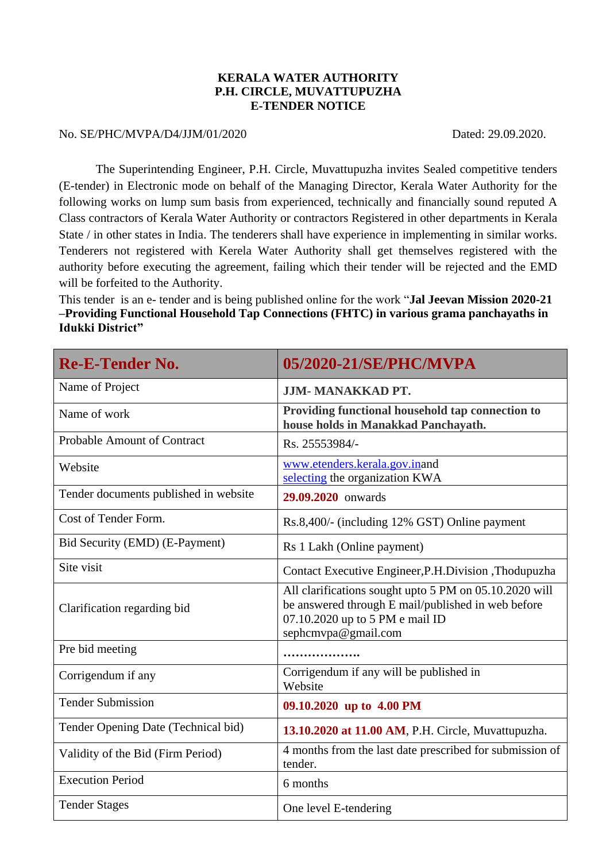## **KERALA WATER AUTHORITY P.H. CIRCLE, MUVATTUPUZHA E-TENDER NOTICE**

## No. SE/PHC/MVPA/D4/JJM/01/2020 Dated: 29.09.2020.

The Superintending Engineer, P.H. Circle, Muvattupuzha invites Sealed competitive tenders (E-tender) in Electronic mode on behalf of the Managing Director, Kerala Water Authority for the following works on lump sum basis from experienced, technically and financially sound reputed A Class contractors of Kerala Water Authority or contractors Registered in other departments in Kerala State / in other states in India. The tenderers shall have experience in implementing in similar works. Tenderers not registered with Kerela Water Authority shall get themselves registered with the authority before executing the agreement, failing which their tender will be rejected and the EMD will be forfeited to the Authority.

This tender is an e- tender and is being published online for the work "**Jal Jeevan Mission 2020-21 –Providing Functional Household Tap Connections (FHTC) in various grama panchayaths in Idukki District"**

| <b>Re-E-Tender No.</b>                | 05/2020-21/SE/PHC/MVPA                                                                                                                                                 |
|---------------------------------------|------------------------------------------------------------------------------------------------------------------------------------------------------------------------|
| Name of Project                       | <b>JJM-MANAKKAD PT.</b>                                                                                                                                                |
| Name of work                          | Providing functional household tap connection to<br>house holds in Manakkad Panchayath.                                                                                |
| Probable Amount of Contract           | Rs. 25553984/-                                                                                                                                                         |
| Website                               | www.etenders.kerala.gov.inand<br>selecting the organization KWA                                                                                                        |
| Tender documents published in website | 29.09.2020 onwards                                                                                                                                                     |
| Cost of Tender Form.                  | Rs.8,400/- (including 12% GST) Online payment                                                                                                                          |
| Bid Security (EMD) (E-Payment)        | Rs 1 Lakh (Online payment)                                                                                                                                             |
| Site visit                            | Contact Executive Engineer, P.H. Division, Thodupuzha                                                                                                                  |
| Clarification regarding bid           | All clarifications sought upto 5 PM on 05.10.2020 will<br>be answered through E mail/published in web before<br>07.10.2020 up to 5 PM e mail ID<br>sephcmvpa@gmail.com |
| Pre bid meeting                       |                                                                                                                                                                        |
| Corrigendum if any                    | Corrigendum if any will be published in<br>Website                                                                                                                     |
| <b>Tender Submission</b>              | 09.10.2020 up to 4.00 PM                                                                                                                                               |
| Tender Opening Date (Technical bid)   | 13.10.2020 at 11.00 AM, P.H. Circle, Muvattupuzha.                                                                                                                     |
| Validity of the Bid (Firm Period)     | 4 months from the last date prescribed for submission of<br>tender.                                                                                                    |
| <b>Execution Period</b>               | 6 months                                                                                                                                                               |
| <b>Tender Stages</b>                  | One level E-tendering                                                                                                                                                  |